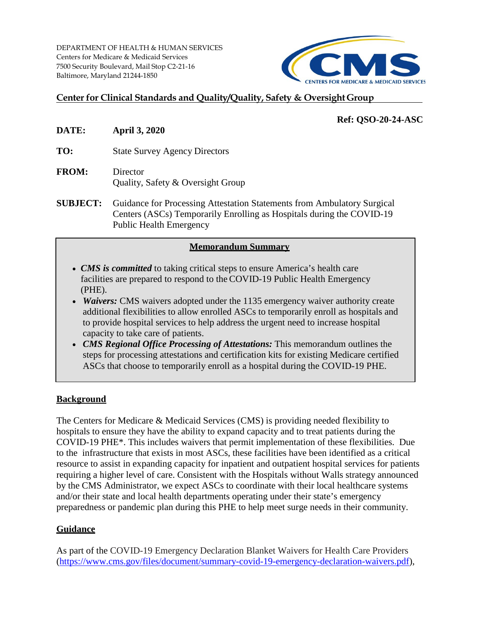DEPARTMENT OF HEALTH & HUMAN SERVICES Centers for Medicare & Medicaid Services 7500 Security Boulevard, Mail Stop C2-21-16 Baltimore, Maryland 21244-1850



# **Center for Clinical Standards and Quality/Quality, Safety & OversightGroup**

# **Ref: QSO-20-24-ASC**

- **DATE: April 3, 2020**
- **TO:** State Survey Agency Directors
- **FROM:** Director Quality, Safety & Oversight Group
- **SUBJECT:** Guidance for Processing Attestation Statements from Ambulatory Surgical Centers (ASCs) Temporarily Enrolling as Hospitals during the COVID-19 Public Health Emergency

### **Memorandum Summary**

- *CMS is committed* to taking critical steps to ensure America's health care facilities are prepared to respond to the COVID-19 Public Health Emergency (PHE).
- *Waivers:* CMS waivers adopted under the 1135 emergency waiver authority create additional flexibilities to allow enrolled ASCs to temporarily enroll as hospitals and to provide hospital services to help address the urgent need to increase hospital capacity to take care of patients.
- *CMS Regional Office Processing of Attestations:* This memorandum outlines the steps for processing attestations and certification kits for existing Medicare certified ASCs that choose to temporarily enroll as a hospital during the COVID-19 PHE.

# **Background**

The Centers for Medicare & Medicaid Services (CMS) is providing needed flexibility to hospitals to ensure they have the ability to expand capacity and to treat patients during the COVID-19 PHE\*. This includes waivers that permit implementation of these flexibilities. Due to the infrastructure that exists in most ASCs, these facilities have been identified as a critical resource to assist in expanding capacity for inpatient and outpatient hospital services for patients requiring a higher level of care. Consistent with the Hospitals without Walls strategy announced by the CMS Administrator, we expect ASCs to coordinate with their local healthcare systems and/or their state and local health departments operating under their state's emergency preparedness or pandemic plan during this PHE to help meet surge needs in their community.

# **Guidance**

As part of the COVID-19 Emergency Declaration Blanket Waivers for Health Care Providers [\(https://www.cms.gov/files/document/summary-covid-19-emergency-declaration-waivers.pdf\)](https://www.cms.gov/files/document/summary-covid-19-emergency-declaration-waivers.pdf),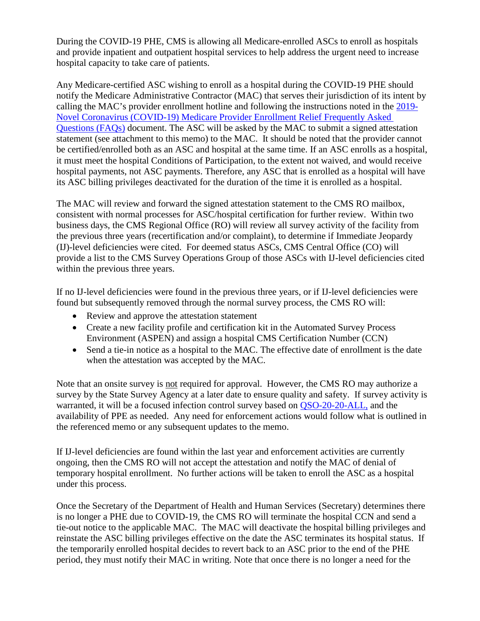During the COVID-19 PHE, CMS is allowing all Medicare-enrolled ASCs to enroll as hospitals and provide inpatient and outpatient hospital services to help address the urgent need to increase hospital capacity to take care of patients.

Any Medicare-certified ASC wishing to enroll as a hospital during the COVID-19 PHE should notify the Medicare Administrative Contractor (MAC) that serves their jurisdiction of its intent by calling the MAC's provider enrollment hotline and following the instructions noted in the [2019-](https://www.cms.gov/files/document/provider-enrollment-relief-faqs-covid-19.pdfhttps:/www.cms.gov/files/document/provider-enrollment-relief-faqs-covid-19.pdf) [Novel Coronavirus \(COVID-19\) Medicare Provider Enrollment Relief Frequently Asked](https://www.cms.gov/files/document/provider-enrollment-relief-faqs-covid-19.pdfhttps:/www.cms.gov/files/document/provider-enrollment-relief-faqs-covid-19.pdf)  [Questions \(FAQs\)](https://www.cms.gov/files/document/provider-enrollment-relief-faqs-covid-19.pdfhttps:/www.cms.gov/files/document/provider-enrollment-relief-faqs-covid-19.pdf) document. The ASC will be asked by the MAC to submit a signed attestation statement (see attachment to this memo) to the MAC. It should be noted that the provider cannot be certified/enrolled both as an ASC and hospital at the same time. If an ASC enrolls as a hospital, it must meet the hospital Conditions of Participation, to the extent not waived, and would receive hospital payments, not ASC payments. Therefore, any ASC that is enrolled as a hospital will have its ASC billing privileges deactivated for the duration of the time it is enrolled as a hospital.

The MAC will review and forward the signed attestation statement to the CMS RO mailbox, consistent with normal processes for ASC/hospital certification for further review. Within two business days, the CMS Regional Office (RO) will review all survey activity of the facility from the previous three years (recertification and/or complaint), to determine if Immediate Jeopardy (IJ)-level deficiencies were cited. For deemed status ASCs, CMS Central Office (CO) will provide a list to the CMS Survey Operations Group of those ASCs with IJ-level deficiencies cited within the previous three years.

If no IJ-level deficiencies were found in the previous three years, or if IJ-level deficiencies were found but subsequently removed through the normal survey process, the CMS RO will:

- Review and approve the attestation statement
- Create a new facility profile and certification kit in the Automated Survey Process Environment (ASPEN) and assign a hospital CMS Certification Number (CCN)
- Send a tie-in notice as a hospital to the MAC. The effective date of enrollment is the date when the attestation was accepted by the MAC.

Note that an onsite survey is not required for approval. However, the CMS RO may authorize a survey by the State Survey Agency at a later date to ensure quality and safety. If survey activity is warranted, it will be a focused infection control survey based on [QSO-20-20-ALL,](https://www.cms.gov/files/document/qso-20-20-allpdf.pdf) and the availability of PPE as needed. Any need for enforcement actions would follow what is outlined in the referenced memo or any subsequent updates to the memo.

If IJ-level deficiencies are found within the last year and enforcement activities are currently ongoing, then the CMS RO will not accept the attestation and notify the MAC of denial of temporary hospital enrollment. No further actions will be taken to enroll the ASC as a hospital under this process.

Once the Secretary of the Department of Health and Human Services (Secretary) determines there is no longer a PHE due to COVID-19, the CMS RO will terminate the hospital CCN and send a tie-out notice to the applicable MAC. The MAC will deactivate the hospital billing privileges and reinstate the ASC billing privileges effective on the date the ASC terminates its hospital status. If the temporarily enrolled hospital decides to revert back to an ASC prior to the end of the PHE period, they must notify their MAC in writing. Note that once there is no longer a need for the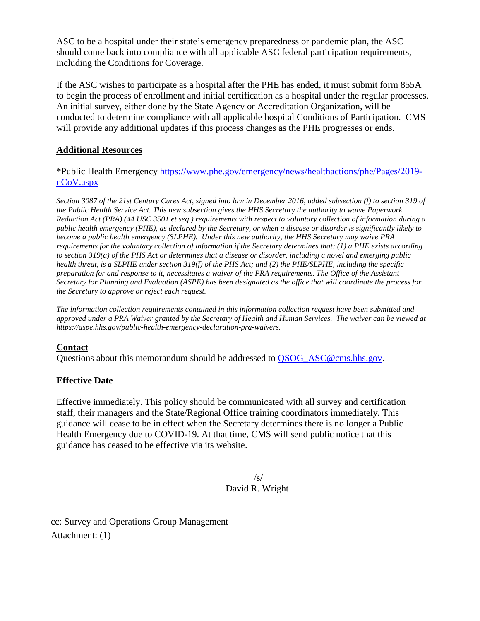ASC to be a hospital under their state's emergency preparedness or pandemic plan, the ASC should come back into compliance with all applicable ASC federal participation requirements, including the Conditions for Coverage.

If the ASC wishes to participate as a hospital after the PHE has ended, it must submit form 855A to begin the process of enrollment and initial certification as a hospital under the regular processes. An initial survey, either done by the State Agency or Accreditation Organization, will be conducted to determine compliance with all applicable hospital Conditions of Participation. CMS will provide any additional updates if this process changes as the PHE progresses or ends.

## **Additional Resources**

\*Public Health Emergency [https://www.phe.gov/emergency/news/healthactions/phe/Pages/2019](https://www.phe.gov/emergency/news/healthactions/phe/Pages/2019-nCoV.aspx) [nCoV.aspx](https://www.phe.gov/emergency/news/healthactions/phe/Pages/2019-nCoV.aspx)

*Section 3087 of the 21st Century Cures Act, signed into law in December 2016, added subsection (f) to section 319 of the Public Health Service Act. This new subsection gives the HHS Secretary the authority to waive Paperwork Reduction Act (PRA) (44 USC 3501 et seq.) requirements with respect to voluntary collection of information during a public health emergency (PHE), as declared by the Secretary, or when a disease or disorder is significantly likely to become a public health emergency (SLPHE). Under this new authority, the HHS Secretary may waive PRA requirements for the voluntary collection of information if the Secretary determines that: (1) a PHE exists according to section 319(a) of the PHS Act or determines that a disease or disorder, including a novel and emerging public health threat, is a SLPHE under section 319(f) of the PHS Act; and (2) the PHE/SLPHE, including the specific preparation for and response to it, necessitates a waiver of the PRA requirements. The Office of the Assistant Secretary for Planning and Evaluation (ASPE) has been designated as the office that will coordinate the process for the Secretary to approve or reject each request.*

*The information collection requirements contained in this information collection request have been submitted and approved under a PRA Waiver granted by the Secretary of Health and Human Services. The waiver can be viewed at [https://aspe.hhs.gov/public-health-emergency-declaration-pra-waivers.](https://aspe.hhs.gov/public-health-emergency-declaration-pra-waivers)*

# **Contact**

Questions about this memorandum should be addressed to **[QSOG\\_ASC@cms.hhs.gov.](mailto:QSOG_ASC@cms.hhs.gov)** 

# **Effective Date**

Effective immediately. This policy should be communicated with all survey and certification staff, their managers and the State/Regional Office training coordinators immediately. This guidance will cease to be in effect when the Secretary determines there is no longer a Public Health Emergency due to COVID-19. At that time, CMS will send public notice that this guidance has ceased to be effective via its website.

### /s/ David R. Wright

cc: Survey and Operations Group Management Attachment: (1)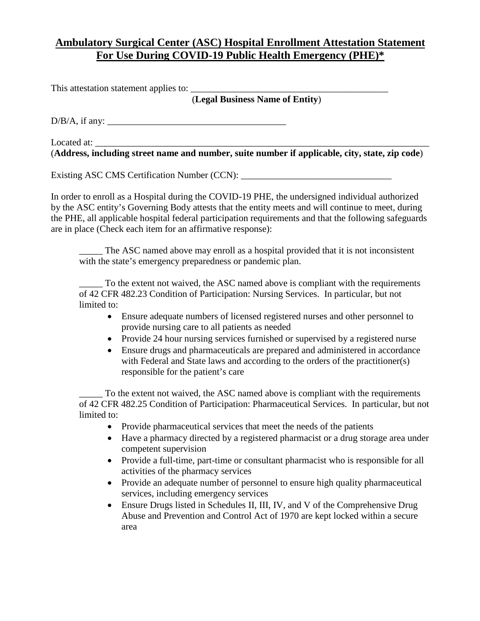# **Ambulatory Surgical Center (ASC) Hospital Enrollment Attestation Statement For Use During COVID-19 Public Health Emergency (PHE)\***

This attestation statement applies to:

(**Legal Business Name of Entity**)

D/B/A, if any: \_\_\_\_\_\_\_\_\_\_\_\_\_\_\_\_\_\_\_\_\_\_\_\_\_\_\_\_\_\_\_\_\_\_\_\_\_\_

Located at: (**Address, including street name and number, suite number if applicable, city, state, zip code**)

Existing ASC CMS Certification Number (CCN): \_\_\_\_\_\_\_\_\_\_\_\_\_\_\_\_\_\_\_\_\_\_\_\_\_\_\_\_\_\_\_\_\_\_\_

In order to enroll as a Hospital during the COVID-19 PHE, the undersigned individual authorized by the ASC entity's Governing Body attests that the entity meets and will continue to meet, during the PHE, all applicable hospital federal participation requirements and that the following safeguards are in place (Check each item for an affirmative response):

The ASC named above may enroll as a hospital provided that it is not inconsistent with the state's emergency preparedness or pandemic plan.

To the extent not waived, the ASC named above is compliant with the requirements of 42 CFR 482.23 Condition of Participation: Nursing Services. In particular, but not limited to:

- Ensure adequate numbers of licensed registered nurses and other personnel to provide nursing care to all patients as needed
- Provide 24 hour nursing services furnished or supervised by a registered nurse
- Ensure drugs and pharmaceuticals are prepared and administered in accordance with Federal and State laws and according to the orders of the practitioner(s) responsible for the patient's care

To the extent not waived, the ASC named above is compliant with the requirements of 42 CFR 482.25 Condition of Participation: Pharmaceutical Services. In particular, but not limited to:

- Provide pharmaceutical services that meet the needs of the patients
- Have a pharmacy directed by a registered pharmacist or a drug storage area under competent supervision
- Provide a full-time, part-time or consultant pharmacist who is responsible for all activities of the pharmacy services
- Provide an adequate number of personnel to ensure high quality pharmaceutical services, including emergency services
- Ensure Drugs listed in Schedules II, III, IV, and V of the Comprehensive Drug Abuse and Prevention and Control Act of 1970 are kept locked within a secure area